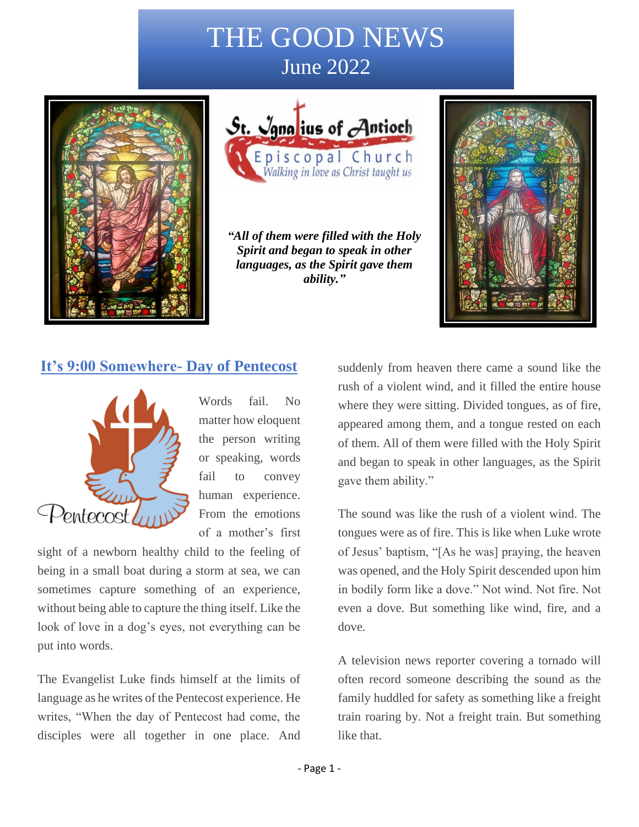# THE GOOD NEWS June 2022





*"All of them were filled with the Holy Spirit and began to speak in other languages, as the Spirit gave them ability."*



### **It's 9:00 Somewhere- Day of Pentecost**



Words fail. No matter how eloquent the person writing or speaking, words fail to convey human experience. From the emotions of a mother's first

sight of a newborn healthy child to the feeling of being in a small boat during a storm at sea, we can sometimes capture something of an experience, without being able to capture the thing itself. Like the look of love in a dog's eyes, not everything can be put into words.

The Evangelist Luke finds himself at the limits of language as he writes of the Pentecost experience. He writes, "When the day of Pentecost had come, the disciples were all together in one place. And

suddenly from heaven there came a sound like the rush of a violent wind, and it filled the entire house where they were sitting. Divided tongues, as of fire, appeared among them, and a tongue rested on each of them. All of them were filled with the Holy Spirit and began to speak in other languages, as the Spirit gave them ability."

The sound was like the rush of a violent wind. The tongues were as of fire. This is like when Luke wrote of Jesus' baptism, "[As he was] praying, the heaven was opened, and the Holy Spirit descended upon him in bodily form like a dove." Not wind. Not fire. Not even a dove. But something like wind, fire, and a dove.

A television news reporter covering a tornado will often record someone describing the sound as the family huddled for safety as something like a freight train roaring by. Not a freight train. But something like that.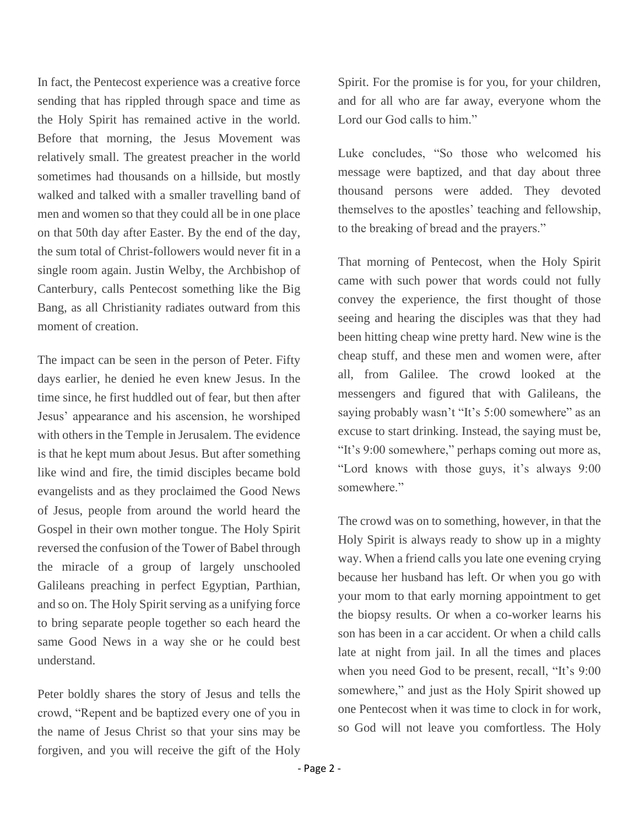In fact, the Pentecost experience was a creative force sending that has rippled through space and time as the Holy Spirit has remained active in the world. Before that morning, the Jesus Movement was relatively small. The greatest preacher in the world sometimes had thousands on a hillside, but mostly walked and talked with a smaller travelling band of men and women so that they could all be in one place on that 50th day after Easter. By the end of the day, the sum total of Christ-followers would never fit in a single room again. Justin Welby, the Archbishop of Canterbury, calls Pentecost something like the Big Bang, as all Christianity radiates outward from this moment of creation.

The impact can be seen in the person of Peter. Fifty days earlier, he denied he even knew Jesus. In the time since, he first huddled out of fear, but then after Jesus' appearance and his ascension, he worshiped with others in the Temple in Jerusalem. The evidence is that he kept mum about Jesus. But after something like wind and fire, the timid disciples became bold evangelists and as they proclaimed the Good News of Jesus, people from around the world heard the Gospel in their own mother tongue. The Holy Spirit reversed the confusion of the Tower of Babel through the miracle of a group of largely unschooled Galileans preaching in perfect Egyptian, Parthian, and so on. The Holy Spirit serving as a unifying force to bring separate people together so each heard the same Good News in a way she or he could best understand.

Peter boldly shares the story of Jesus and tells the crowd, "Repent and be baptized every one of you in the name of Jesus Christ so that your sins may be forgiven, and you will receive the gift of the Holy

Spirit. For the promise is for you, for your children, and for all who are far away, everyone whom the Lord our God calls to him."

Luke concludes, "So those who welcomed his message were baptized, and that day about three thousand persons were added. They devoted themselves to the apostles' teaching and fellowship, to the breaking of bread and the prayers."

That morning of Pentecost, when the Holy Spirit came with such power that words could not fully convey the experience, the first thought of those seeing and hearing the disciples was that they had been hitting cheap wine pretty hard. New wine is the cheap stuff, and these men and women were, after all, from Galilee. The crowd looked at the messengers and figured that with Galileans, the saying probably wasn't "It's 5:00 somewhere" as an excuse to start drinking. Instead, the saying must be, "It's 9:00 somewhere," perhaps coming out more as, "Lord knows with those guys, it's always 9:00 somewhere."

The crowd was on to something, however, in that the Holy Spirit is always ready to show up in a mighty way. When a friend calls you late one evening crying because her husband has left. Or when you go with your mom to that early morning appointment to get the biopsy results. Or when a co-worker learns his son has been in a car accident. Or when a child calls late at night from jail. In all the times and places when you need God to be present, recall, "It's 9:00 somewhere," and just as the Holy Spirit showed up one Pentecost when it was time to clock in for work, so God will not leave you comfortless. The Holy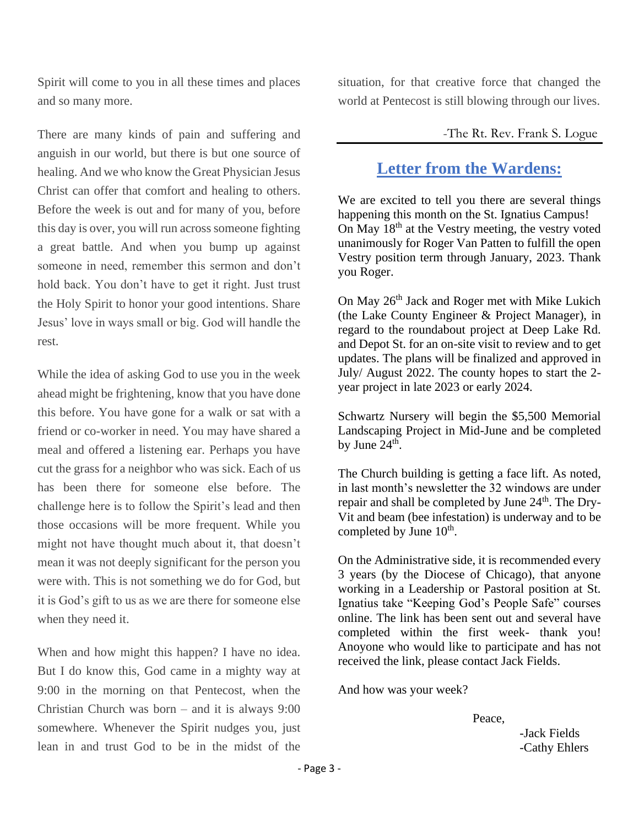Spirit will come to you in all these times and places and so many more.

There are many kinds of pain and suffering and anguish in our world, but there is but one source of healing. And we who know the Great Physician Jesus Christ can offer that comfort and healing to others. Before the week is out and for many of you, before this day is over, you will run across someone fighting a great battle. And when you bump up against someone in need, remember this sermon and don't hold back. You don't have to get it right. Just trust the Holy Spirit to honor your good intentions. Share Jesus' love in ways small or big. God will handle the rest.

While the idea of asking God to use you in the week ahead might be frightening, know that you have done this before. You have gone for a walk or sat with a friend or co-worker in need. You may have shared a meal and offered a listening ear. Perhaps you have cut the grass for a neighbor who was sick. Each of us has been there for someone else before. The challenge here is to follow the Spirit's lead and then those occasions will be more frequent. While you might not have thought much about it, that doesn't mean it was not deeply significant for the person you were with. This is not something we do for God, but it is God's gift to us as we are there for someone else when they need it.

When and how might this happen? I have no idea. But I do know this, God came in a mighty way at 9:00 in the morning on that Pentecost, when the Christian Church was born – and it is always 9:00 somewhere. Whenever the Spirit nudges you, just lean in and trust God to be in the midst of the situation, for that creative force that changed the world at Pentecost is still blowing through our lives.

#### -The Rt. Rev. Frank S. Logue

# **Letter from the Wardens:**

We are excited to tell you there are several things happening this month on the St. Ignatius Campus! On May 18<sup>th</sup> at the Vestry meeting, the vestry voted unanimously for Roger Van Patten to fulfill the open Vestry position term through January, 2023. Thank you Roger.

On May 26<sup>th</sup> Jack and Roger met with Mike Lukich (the Lake County Engineer & Project Manager), in regard to the roundabout project at Deep Lake Rd. and Depot St. for an on-site visit to review and to get updates. The plans will be finalized and approved in July/ August 2022. The county hopes to start the 2 year project in late 2023 or early 2024.

Schwartz Nursery will begin the \$5,500 Memorial Landscaping Project in Mid-June and be completed by June  $24^{\text{th}}$ .

The Church building is getting a face lift. As noted, in last month's newsletter the 32 windows are under repair and shall be completed by June 24<sup>th</sup>. The Dry-Vit and beam (bee infestation) is underway and to be completed by June  $10^{\text{th}}$ .

On the Administrative side, it is recommended every 3 years (by the Diocese of Chicago), that anyone working in a Leadership or Pastoral position at St. Ignatius take "Keeping God's People Safe" courses online. The link has been sent out and several have completed within the first week- thank you! Anoyone who would like to participate and has not received the link, please contact Jack Fields.

And how was your week?

Peace,

 -Jack Fields -Cathy Ehlers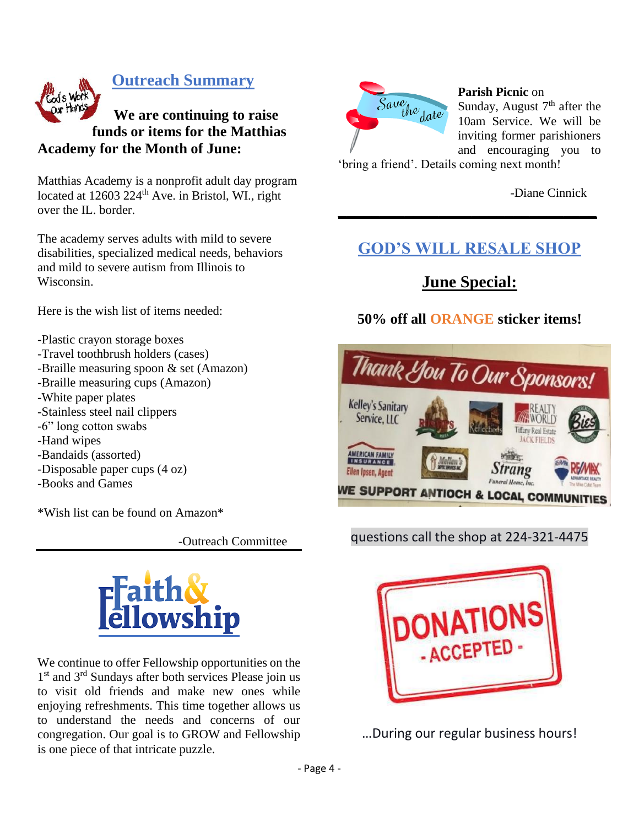

### **Outreach Summary**

# **We are continuing to raise funds or items for the Matthias Academy for the Month of June:**

Matthias Academy is a nonprofit adult day program located at  $12603 224$ <sup>th</sup> Ave. in Bristol, WI., right over the IL. border.

The academy serves adults with mild to severe disabilities, specialized medical needs, behaviors and mild to severe autism from Illinois to Wisconsin.

Here is the wish list of items needed:

- -Plastic crayon storage boxes
- -Travel toothbrush holders (cases)
- -Braille measuring spoon & set (Amazon)
- -Braille measuring cups (Amazon)
- -White paper plates
- -Stainless steel nail clippers
- -6" long cotton swabs
- -Hand wipes
- -Bandaids (assorted)
- -Disposable paper cups (4 oz)
- -Books and Games

\*Wish list can be found on Amazon\*

-Outreach Committee



We continue to offer Fellowship opportunities on the 1<sup>st</sup> and 3<sup>rd</sup> Sundays after both services Please join us to visit old friends and make new ones while enjoying refreshments. This time together allows us to understand the needs and concerns of our congregation. Our goal is to GROW and Fellowship is one piece of that intricate puzzle.



**Parish Picnic** on

Sunday, August  $7<sup>th</sup>$  after the 10am Service. We will be inviting former parishioners and encouraging you to

'bring a friend'. Details coming next month!

-Diane Cinnick

# **GOD'S WILL RESALE SHOP**

**\_\_\_\_\_\_\_\_\_\_\_\_\_\_\_\_\_\_\_\_\_\_\_\_\_\_\_\_\_\_\_**

# **June Special:**

### **50% off all ORANGE sticker items!**



#### questions call the shop at 224-321-4475



…During our regular business hours!